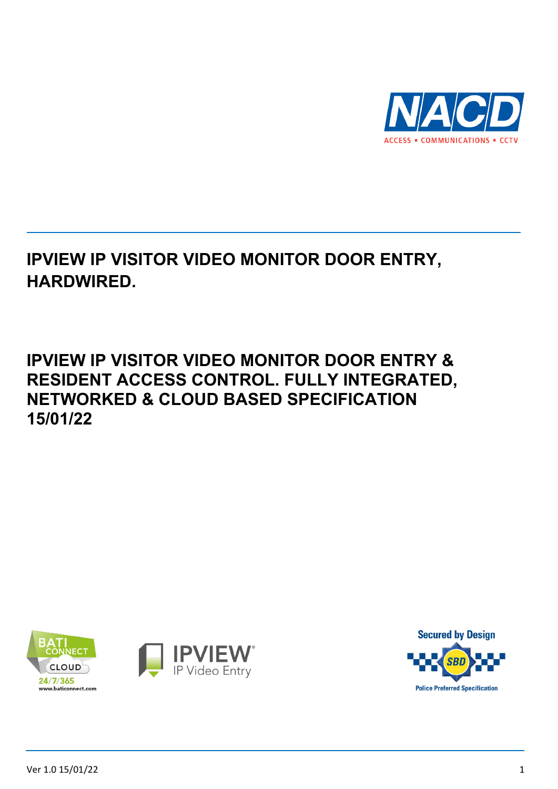

## **IPVIEW IP VISITOR VIDEO MONITOR DOOR ENTRY, HARDWIRED.**

## **IPVIEW IP VISITOR VIDEO MONITOR DOOR ENTRY & RESIDENT ACCESS CONTROL. FULLY INTEGRATED, NETWORKED & CLOUD BASED SPECIFICATION 15/01/22**



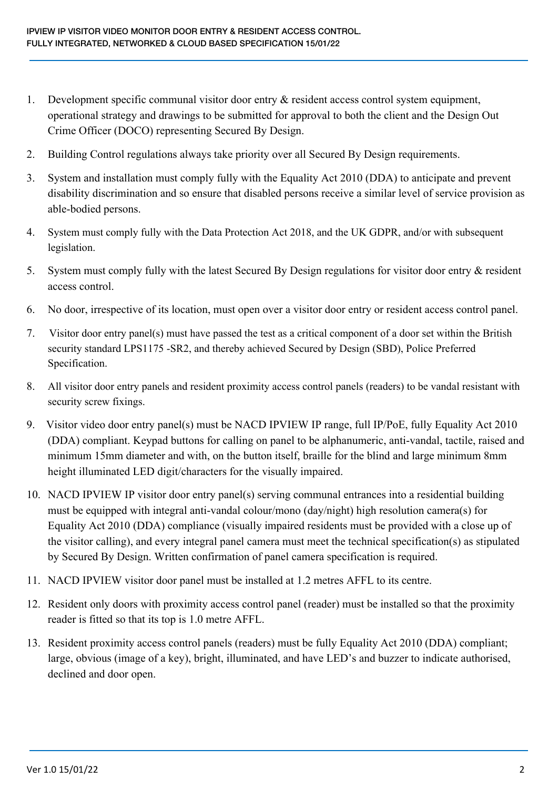- 1. Development specific communal visitor door entry & resident access control system equipment, operational strategy and drawings to be submitted for approval to both the client and the Design Out Crime Officer (DOCO) representing Secured By Design.
- 2. Building Control regulations always take priority over all Secured By Design requirements.
- 3. System and installation must comply fully with the Equality Act 2010 (DDA) to anticipate and prevent disability discrimination and so ensure that disabled persons receive a similar level of service provision as able-bodied persons.
- 4. System must comply fully with the Data Protection Act 2018, and the UK GDPR, and/or with subsequent legislation.
- 5. System must comply fully with the latest Secured By Design regulations for visitor door entry & resident access control.
- 6. No door, irrespective of its location, must open over a visitor door entry or resident access control panel.
- 7. Visitor door entry panel(s) must have passed the test as a critical component of a door set within the British security standard LPS1175 -SR2, and thereby achieved Secured by Design (SBD), Police Preferred Specification.
- 8. All visitor door entry panels and resident proximity access control panels (readers) to be vandal resistant with security screw fixings.
- 9. Visitor video door entry panel(s) must be NACD IPVIEW IP range, full IP/PoE, fully Equality Act 2010 (DDA) compliant. Keypad buttons for calling on panel to be alphanumeric, anti-vandal, tactile, raised and minimum 15mm diameter and with, on the button itself, braille for the blind and large minimum 8mm height illuminated LED digit/characters for the visually impaired.
- 10. NACD IPVIEW IP visitor door entry panel(s) serving communal entrances into a residential building must be equipped with integral anti-vandal colour/mono (day/night) high resolution camera(s) for Equality Act 2010 (DDA) compliance (visually impaired residents must be provided with a close up of the visitor calling), and every integral panel camera must meet the technical specification(s) as stipulated by Secured By Design. Written confirmation of panel camera specification is required.
- 11. NACD IPVIEW visitor door panel must be installed at 1.2 metres AFFL to its centre.
- 12. Resident only doors with proximity access control panel (reader) must be installed so that the proximity reader is fitted so that its top is 1.0 metre AFFL.
- 13. Resident proximity access control panels (readers) must be fully Equality Act 2010 (DDA) compliant; large, obvious (image of a key), bright, illuminated, and have LED's and buzzer to indicate authorised, declined and door open.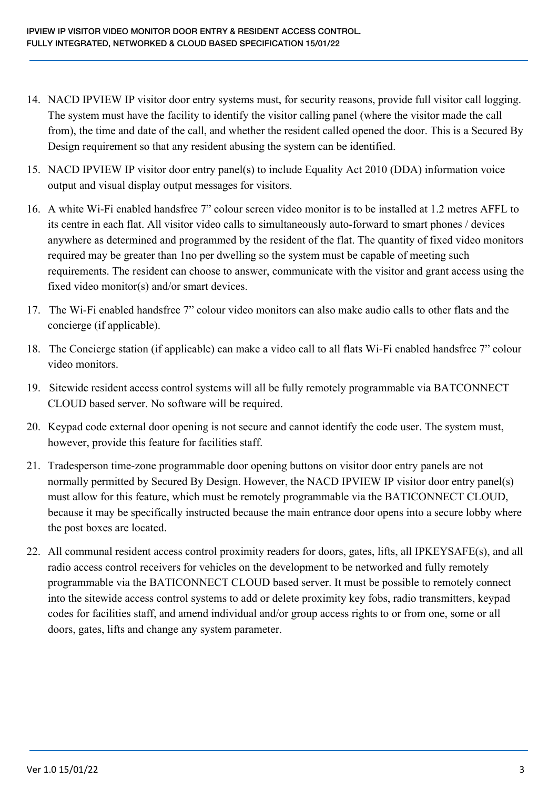- 14. NACD IPVIEW IP visitor door entry systems must, for security reasons, provide full visitor call logging. The system must have the facility to identify the visitor calling panel (where the visitor made the call from), the time and date of the call, and whether the resident called opened the door. This is a Secured By Design requirement so that any resident abusing the system can be identified.
- 15. NACD IPVIEW IP visitor door entry panel(s) to include Equality Act 2010 (DDA) information voice output and visual display output messages for visitors.
- 16. A white Wi-Fi enabled handsfree 7" colour screen video monitor is to be installed at 1.2 metres AFFL to its centre in each flat. All visitor video calls to simultaneously auto-forward to smart phones / devices anywhere as determined and programmed by the resident of the flat. The quantity of fixed video monitors required may be greater than 1no per dwelling so the system must be capable of meeting such requirements. The resident can choose to answer, communicate with the visitor and grant access using the fixed video monitor(s) and/or smart devices.
- 17. The Wi-Fi enabled handsfree 7" colour video monitors can also make audio calls to other flats and the concierge (if applicable).
- 18. The Concierge station (if applicable) can make a video call to all flats Wi-Fi enabled handsfree 7" colour video monitors.
- 19. Sitewide resident access control systems will all be fully remotely programmable via BATCONNECT CLOUD based server. No software will be required.
- 20. Keypad code external door opening is not secure and cannot identify the code user. The system must, however, provide this feature for facilities staff.
- 21. Tradesperson time-zone programmable door opening buttons on visitor door entry panels are not normally permitted by Secured By Design. However, the NACD IPVIEW IP visitor door entry panel(s) must allow for this feature, which must be remotely programmable via the BATICONNECT CLOUD, because it may be specifically instructed because the main entrance door opens into a secure lobby where the post boxes are located.
- 22. All communal resident access control proximity readers for doors, gates, lifts, all IPKEYSAFE(s), and all radio access control receivers for vehicles on the development to be networked and fully remotely programmable via the BATICONNECT CLOUD based server. It must be possible to remotely connect into the sitewide access control systems to add or delete proximity key fobs, radio transmitters, keypad codes for facilities staff, and amend individual and/or group access rights to or from one, some or all doors, gates, lifts and change any system parameter.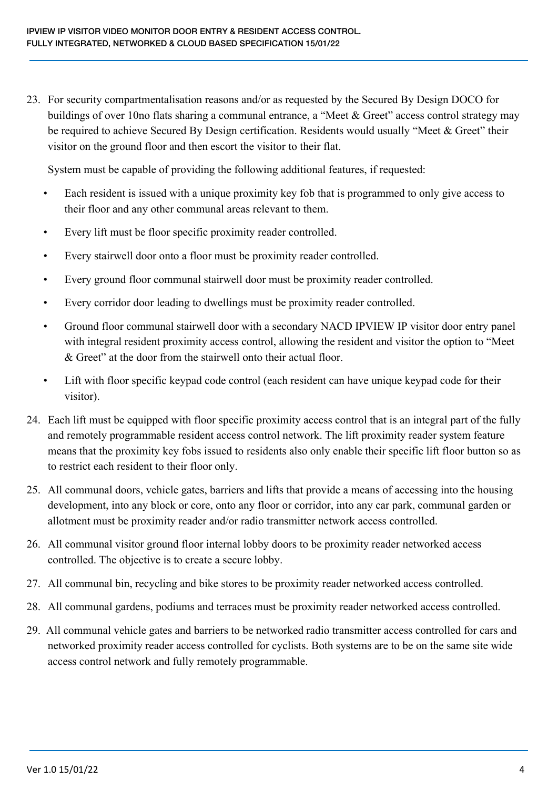23. For security compartmentalisation reasons and/or as requested by the Secured By Design DOCO for buildings of over 10no flats sharing a communal entrance, a "Meet & Greet" access control strategy may be required to achieve Secured By Design certification. Residents would usually "Meet & Greet" their visitor on the ground floor and then escort the visitor to their flat.

System must be capable of providing the following additional features, if requested:

- Each resident is issued with a unique proximity key fob that is programmed to only give access to their floor and any other communal areas relevant to them.
- Every lift must be floor specific proximity reader controlled.
- Every stairwell door onto a floor must be proximity reader controlled.
- Every ground floor communal stairwell door must be proximity reader controlled.
- Every corridor door leading to dwellings must be proximity reader controlled.
- Ground floor communal stairwell door with a secondary NACD IPVIEW IP visitor door entry panel with integral resident proximity access control, allowing the resident and visitor the option to "Meet & Greet" at the door from the stairwell onto their actual floor.
- Lift with floor specific keypad code control (each resident can have unique keypad code for their visitor).
- 24. Each lift must be equipped with floor specific proximity access control that is an integral part of the fully and remotely programmable resident access control network. The lift proximity reader system feature means that the proximity key fobs issued to residents also only enable their specific lift floor button so as to restrict each resident to their floor only.
- 25. All communal doors, vehicle gates, barriers and lifts that provide a means of accessing into the housing development, into any block or core, onto any floor or corridor, into any car park, communal garden or allotment must be proximity reader and/or radio transmitter network access controlled.
- 26. All communal visitor ground floor internal lobby doors to be proximity reader networked access controlled. The objective is to create a secure lobby.
- 27. All communal bin, recycling and bike stores to be proximity reader networked access controlled.
- 28. All communal gardens, podiums and terraces must be proximity reader networked access controlled.
- 29. All communal vehicle gates and barriers to be networked radio transmitter access controlled for cars and networked proximity reader access controlled for cyclists. Both systems are to be on the same site wide access control network and fully remotely programmable.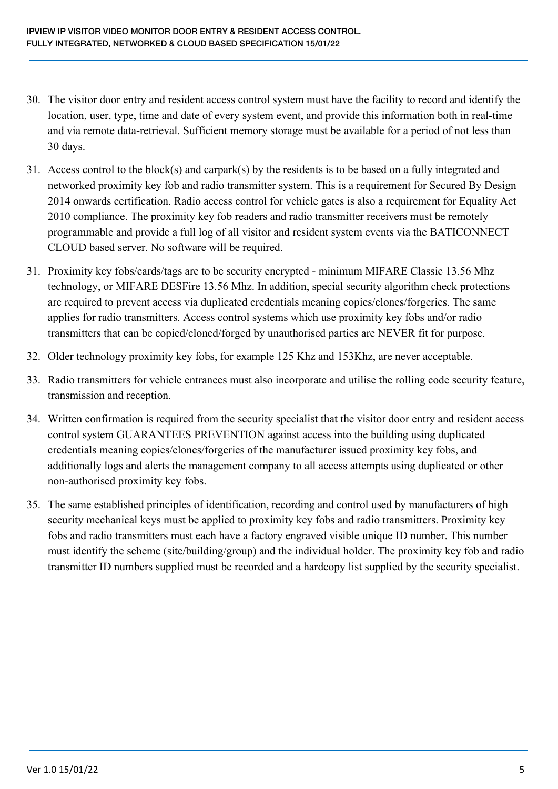- 30. The visitor door entry and resident access control system must have the facility to record and identify the location, user, type, time and date of every system event, and provide this information both in real-time and via remote data-retrieval. Sufficient memory storage must be available for a period of not less than 30 days.
- 31. Access control to the block(s) and carpark(s) by the residents is to be based on a fully integrated and networked proximity key fob and radio transmitter system. This is a requirement for Secured By Design 2014 onwards certification. Radio access control for vehicle gates is also a requirement for Equality Act 2010 compliance. The proximity key fob readers and radio transmitter receivers must be remotely programmable and provide a full log of all visitor and resident system events via the BATICONNECT CLOUD based server. No software will be required.
- 31. Proximity key fobs/cards/tags are to be security encrypted minimum MIFARE Classic 13.56 Mhz technology, or MIFARE DESFire 13.56 Mhz. In addition, special security algorithm check protections are required to prevent access via duplicated credentials meaning copies/clones/forgeries. The same applies for radio transmitters. Access control systems which use proximity key fobs and/or radio transmitters that can be copied/cloned/forged by unauthorised parties are NEVER fit for purpose.
- 32. Older technology proximity key fobs, for example 125 Khz and 153Khz, are never acceptable.
- 33. Radio transmitters for vehicle entrances must also incorporate and utilise the rolling code security feature, transmission and reception.
- 34. Written confirmation is required from the security specialist that the visitor door entry and resident access control system GUARANTEES PREVENTION against access into the building using duplicated credentials meaning copies/clones/forgeries of the manufacturer issued proximity key fobs, and additionally logs and alerts the management company to all access attempts using duplicated or other non-authorised proximity key fobs.
- 35. The same established principles of identification, recording and control used by manufacturers of high security mechanical keys must be applied to proximity key fobs and radio transmitters. Proximity key fobs and radio transmitters must each have a factory engraved visible unique ID number. This number must identify the scheme (site/building/group) and the individual holder. The proximity key fob and radio transmitter ID numbers supplied must be recorded and a hardcopy list supplied by the security specialist.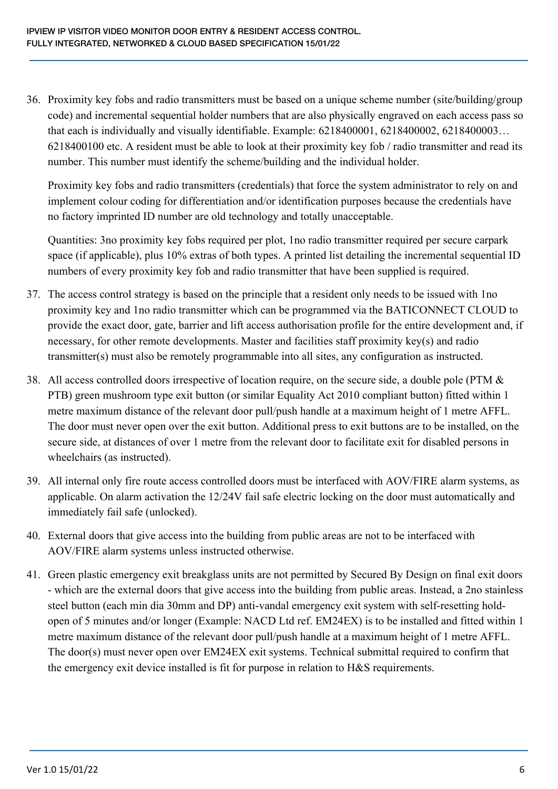36. Proximity key fobs and radio transmitters must be based on a unique scheme number (site/building/group code) and incremental sequential holder numbers that are also physically engraved on each access pass so that each is individually and visually identifiable. Example: 6218400001, 6218400002, 6218400003… 6218400100 etc. A resident must be able to look at their proximity key fob / radio transmitter and read its number. This number must identify the scheme/building and the individual holder.

Proximity key fobs and radio transmitters (credentials) that force the system administrator to rely on and implement colour coding for differentiation and/or identification purposes because the credentials have no factory imprinted ID number are old technology and totally unacceptable.

Quantities: 3no proximity key fobs required per plot, 1no radio transmitter required per secure carpark space (if applicable), plus 10% extras of both types. A printed list detailing the incremental sequential ID numbers of every proximity key fob and radio transmitter that have been supplied is required.

- 37. The access control strategy is based on the principle that a resident only needs to be issued with 1no proximity key and 1no radio transmitter which can be programmed via the BATICONNECT CLOUD to provide the exact door, gate, barrier and lift access authorisation profile for the entire development and, if necessary, for other remote developments. Master and facilities staff proximity key(s) and radio transmitter(s) must also be remotely programmable into all sites, any configuration as instructed.
- 38. All access controlled doors irrespective of location require, on the secure side, a double pole (PTM & PTB) green mushroom type exit button (or similar Equality Act 2010 compliant button) fitted within 1 metre maximum distance of the relevant door pull/push handle at a maximum height of 1 metre AFFL. The door must never open over the exit button. Additional press to exit buttons are to be installed, on the secure side, at distances of over 1 metre from the relevant door to facilitate exit for disabled persons in wheelchairs (as instructed).
- 39. All internal only fire route access controlled doors must be interfaced with AOV/FIRE alarm systems, as applicable. On alarm activation the 12/24V fail safe electric locking on the door must automatically and immediately fail safe (unlocked).
- 40. External doors that give access into the building from public areas are not to be interfaced with AOV/FIRE alarm systems unless instructed otherwise.
- 41. Green plastic emergency exit breakglass units are not permitted by Secured By Design on final exit doors - which are the external doors that give access into the building from public areas. Instead, a 2no stainless steel button (each min dia 30mm and DP) anti-vandal emergency exit system with self-resetting holdopen of 5 minutes and/or longer (Example: NACD Ltd ref. EM24EX) is to be installed and fitted within 1 metre maximum distance of the relevant door pull/push handle at a maximum height of 1 metre AFFL. The door(s) must never open over EM24EX exit systems. Technical submittal required to confirm that the emergency exit device installed is fit for purpose in relation to H&S requirements.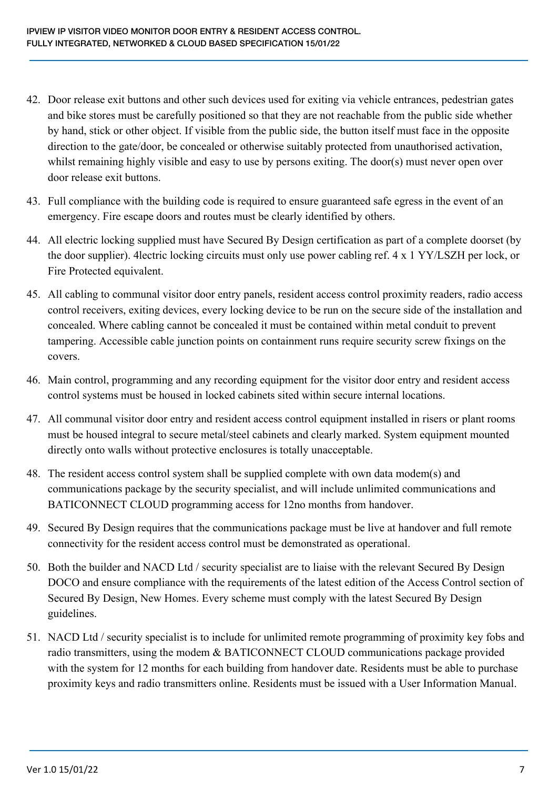- 42. Door release exit buttons and other such devices used for exiting via vehicle entrances, pedestrian gates and bike stores must be carefully positioned so that they are not reachable from the public side whether by hand, stick or other object. If visible from the public side, the button itself must face in the opposite direction to the gate/door, be concealed or otherwise suitably protected from unauthorised activation, whilst remaining highly visible and easy to use by persons exiting. The door(s) must never open over door release exit buttons.
- 43. Full compliance with the building code is required to ensure guaranteed safe egress in the event of an emergency. Fire escape doors and routes must be clearly identified by others.
- 44. All electric locking supplied must have Secured By Design certification as part of a complete doorset (by the door supplier). 4lectric locking circuits must only use power cabling ref. 4 x 1 YY/LSZH per lock, or Fire Protected equivalent.
- 45. All cabling to communal visitor door entry panels, resident access control proximity readers, radio access control receivers, exiting devices, every locking device to be run on the secure side of the installation and concealed. Where cabling cannot be concealed it must be contained within metal conduit to prevent tampering. Accessible cable junction points on containment runs require security screw fixings on the covers.
- 46. Main control, programming and any recording equipment for the visitor door entry and resident access control systems must be housed in locked cabinets sited within secure internal locations.
- 47. All communal visitor door entry and resident access control equipment installed in risers or plant rooms must be housed integral to secure metal/steel cabinets and clearly marked. System equipment mounted directly onto walls without protective enclosures is totally unacceptable.
- 48. The resident access control system shall be supplied complete with own data modem(s) and communications package by the security specialist, and will include unlimited communications and BATICONNECT CLOUD programming access for 12no months from handover.
- 49. Secured By Design requires that the communications package must be live at handover and full remote connectivity for the resident access control must be demonstrated as operational.
- 50. Both the builder and NACD Ltd / security specialist are to liaise with the relevant Secured By Design DOCO and ensure compliance with the requirements of the latest edition of the Access Control section of Secured By Design, New Homes. Every scheme must comply with the latest Secured By Design guidelines.
- 51. NACD Ltd / security specialist is to include for unlimited remote programming of proximity key fobs and radio transmitters, using the modem & BATICONNECT CLOUD communications package provided with the system for 12 months for each building from handover date. Residents must be able to purchase proximity keys and radio transmitters online. Residents must be issued with a User Information Manual.